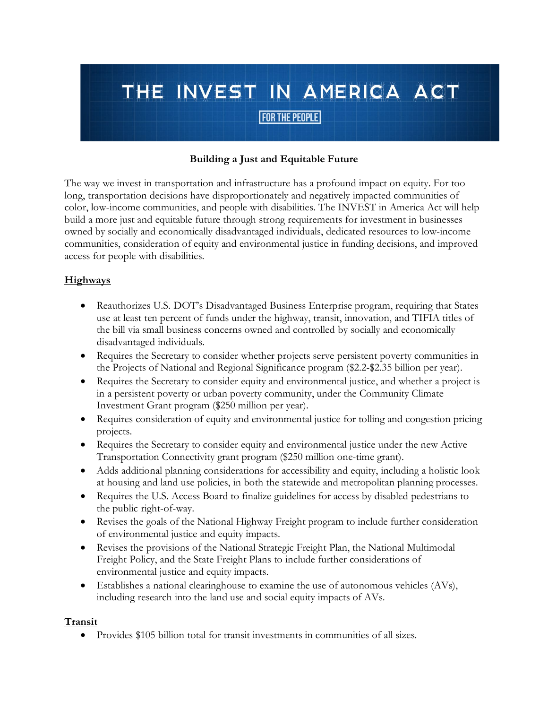#### **Building a Just and Equitable Future**

The way we invest in transportation and infrastructure has a profound impact on equity. For too long, transportation decisions have disproportionately and negatively impacted communities of color, low-income communities, and people with disabilities. The INVEST in America Act will help build a more just and equitable future through strong requirements for investment in businesses owned by socially and economically disadvantaged individuals, dedicated resources to low-income communities, consideration of equity and environmental justice in funding decisions, and improved access for people with disabilities.

#### **Highways**

- Reauthorizes U.S. DOT's Disadvantaged Business Enterprise program, requiring that States use at least ten percent of funds under the highway, transit, innovation, and TIFIA titles of the bill via small business concerns owned and controlled by socially and economically disadvantaged individuals.
- Requires the Secretary to consider whether projects serve persistent poverty communities in the Projects of National and Regional Significance program (\$2.2-\$2.35 billion per year).
- Requires the Secretary to consider equity and environmental justice, and whether a project is in a persistent poverty or urban poverty community, under the Community Climate Investment Grant program (\$250 million per year).
- Requires consideration of equity and environmental justice for tolling and congestion pricing projects.
- Requires the Secretary to consider equity and environmental justice under the new Active Transportation Connectivity grant program (\$250 million one-time grant).
- Adds additional planning considerations for accessibility and equity, including a holistic look at housing and land use policies, in both the statewide and metropolitan planning processes.
- Requires the U.S. Access Board to finalize guidelines for access by disabled pedestrians to the public right-of-way.
- Revises the goals of the National Highway Freight program to include further consideration of environmental justice and equity impacts.
- Revises the provisions of the National Strategic Freight Plan, the National Multimodal Freight Policy, and the State Freight Plans to include further considerations of environmental justice and equity impacts.
- Establishes a national clearinghouse to examine the use of autonomous vehicles (AVs), including research into the land use and social equity impacts of AVs.

#### **Transit**

• Provides \$105 billion total for transit investments in communities of all sizes.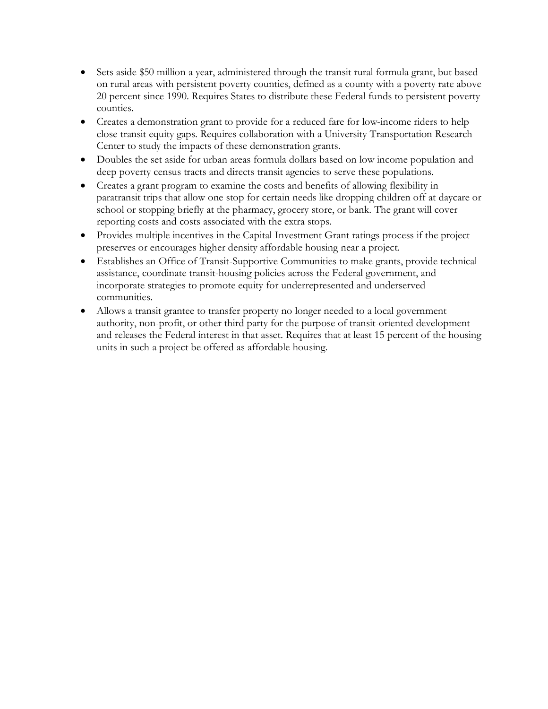- Sets aside \$50 million a year, administered through the transit rural formula grant, but based on rural areas with persistent poverty counties, defined as a county with a poverty rate above 20 percent since 1990. Requires States to distribute these Federal funds to persistent poverty counties.
- Creates a demonstration grant to provide for a reduced fare for low-income riders to help close transit equity gaps. Requires collaboration with a University Transportation Research Center to study the impacts of these demonstration grants.
- Doubles the set aside for urban areas formula dollars based on low income population and deep poverty census tracts and directs transit agencies to serve these populations.
- Creates a grant program to examine the costs and benefits of allowing flexibility in paratransit trips that allow one stop for certain needs like dropping children off at daycare or school or stopping briefly at the pharmacy, grocery store, or bank. The grant will cover reporting costs and costs associated with the extra stops.
- Provides multiple incentives in the Capital Investment Grant ratings process if the project preserves or encourages higher density affordable housing near a project.
- Establishes an Office of Transit-Supportive Communities to make grants, provide technical assistance, coordinate transit-housing policies across the Federal government, and incorporate strategies to promote equity for underrepresented and underserved communities.
- Allows a transit grantee to transfer property no longer needed to a local government authority, non-profit, or other third party for the purpose of transit-oriented development and releases the Federal interest in that asset. Requires that at least 15 percent of the housing units in such a project be offered as affordable housing.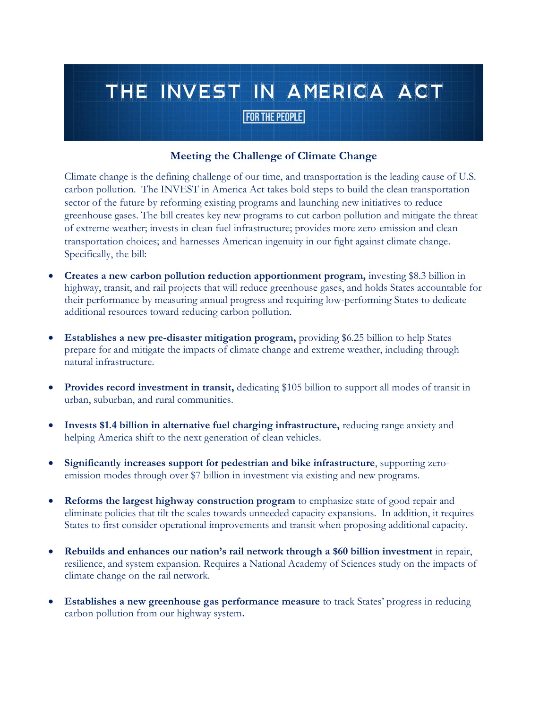#### **Meeting the Challenge of Climate Change**

Climate change is the defining challenge of our time, and transportation is the leading cause of U.S. carbon pollution. The INVEST in America Act takes bold steps to build the clean transportation sector of the future by reforming existing programs and launching new initiatives to reduce greenhouse gases. The bill creates key new programs to cut carbon pollution and mitigate the threat of extreme weather; invests in clean fuel infrastructure; provides more zero-emission and clean transportation choices; and harnesses American ingenuity in our fight against climate change. Specifically, the bill:

- **Creates a new carbon pollution reduction apportionment program,** investing \$8.3 billion in highway, transit, and rail projects that will reduce greenhouse gases, and holds States accountable for their performance by measuring annual progress and requiring low-performing States to dedicate additional resources toward reducing carbon pollution.
- **Establishes a new pre-disaster mitigation program,** providing \$6.25 billion to help States prepare for and mitigate the impacts of climate change and extreme weather, including through natural infrastructure.
- **Provides record investment in transit,** dedicating \$105 billion to support all modes of transit in urban, suburban, and rural communities.
- **Invests \$1.4 billion in alternative fuel charging infrastructure,** reducing range anxiety and helping America shift to the next generation of clean vehicles.
- **Significantly increases support for pedestrian and bike infrastructure**, supporting zeroemission modes through over \$7 billion in investment via existing and new programs.
- **Reforms the largest highway construction program** to emphasize state of good repair and eliminate policies that tilt the scales towards unneeded capacity expansions. In addition, it requires States to first consider operational improvements and transit when proposing additional capacity.
- **Rebuilds and enhances our nation's rail network through a \$60 billion investment** in repair, resilience, and system expansion. Requires a National Academy of Sciences study on the impacts of climate change on the rail network.
- **Establishes a new greenhouse gas performance measure** to track States' progress in reducing carbon pollution from our highway system**.**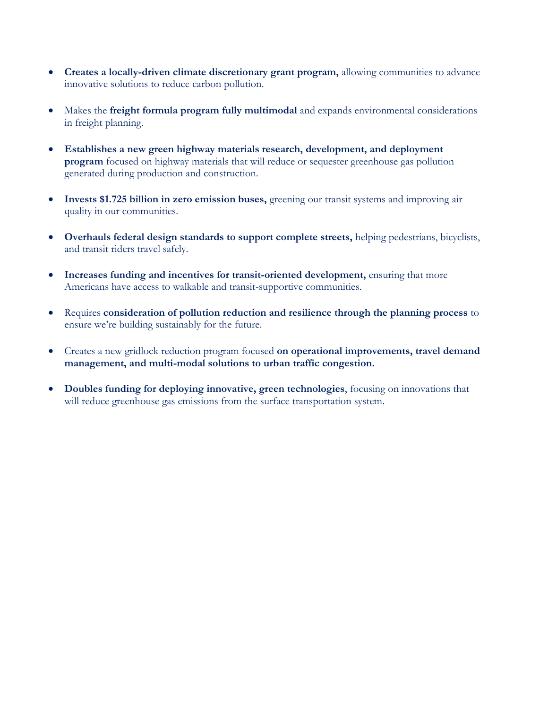- **Creates a locally-driven climate discretionary grant program,** allowing communities to advance innovative solutions to reduce carbon pollution.
- Makes the **freight formula program fully multimodal** and expands environmental considerations in freight planning.
- **Establishes a new green highway materials research, development, and deployment program** focused on highway materials that will reduce or sequester greenhouse gas pollution generated during production and construction.
- **Invests \$1.725 billion in zero emission buses,** greening our transit systems and improving air quality in our communities.
- **Overhauls federal design standards to support complete streets,** helping pedestrians, bicyclists, and transit riders travel safely.
- **Increases funding and incentives for transit-oriented development,** ensuring that more Americans have access to walkable and transit-supportive communities.
- Requires **consideration of pollution reduction and resilience through the planning process** to ensure we're building sustainably for the future.
- Creates a new gridlock reduction program focused **on operational improvements, travel demand management, and multi-modal solutions to urban traffic congestion.**
- **Doubles funding for deploying innovative, green technologies**, focusing on innovations that will reduce greenhouse gas emissions from the surface transportation system.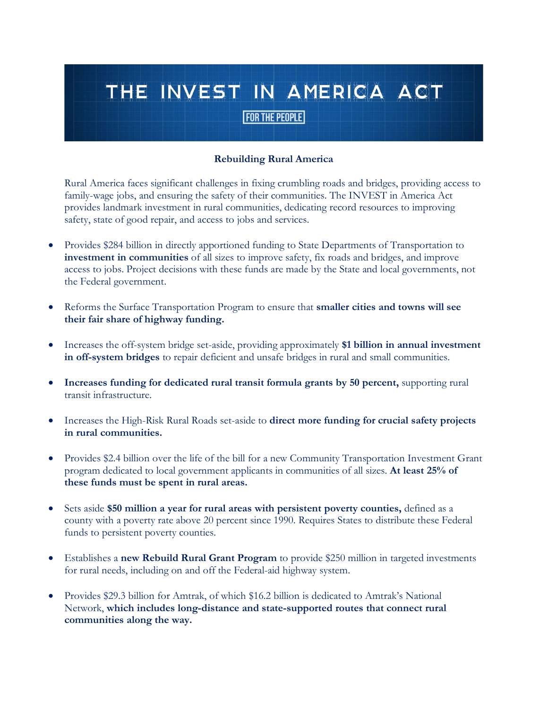#### **Rebuilding Rural America**

Rural America faces significant challenges in fixing crumbling roads and bridges, providing access to family-wage jobs, and ensuring the safety of their communities. The INVEST in America Act provides landmark investment in rural communities, dedicating record resources to improving safety, state of good repair, and access to jobs and services.

- Provides \$284 billion in directly apportioned funding to State Departments of Transportation to **investment in communities** of all sizes to improve safety, fix roads and bridges, and improve access to jobs. Project decisions with these funds are made by the State and local governments, not the Federal government.
- Reforms the Surface Transportation Program to ensure that **smaller cities and towns will see their fair share of highway funding.**
- Increases the off-system bridge set-aside, providing approximately **\$1 billion in annual investment in off-system bridges** to repair deficient and unsafe bridges in rural and small communities.
- **Increases funding for dedicated rural transit formula grants by 50 percent,** supporting rural transit infrastructure.
- Increases the High-Risk Rural Roads set-aside to **direct more funding for crucial safety projects in rural communities.**
- Provides \$2.4 billion over the life of the bill for a new Community Transportation Investment Grant program dedicated to local government applicants in communities of all sizes. **At least 25% of these funds must be spent in rural areas.**
- Sets aside **\$50 million a year for rural areas with persistent poverty counties,** defined as a county with a poverty rate above 20 percent since 1990. Requires States to distribute these Federal funds to persistent poverty counties.
- Establishes a **new Rebuild Rural Grant Program** to provide \$250 million in targeted investments for rural needs, including on and off the Federal-aid highway system.
- Provides \$29.3 billion for Amtrak, of which \$16.2 billion is dedicated to Amtrak's National Network, **which includes long-distance and state-supported routes that connect rural communities along the way.**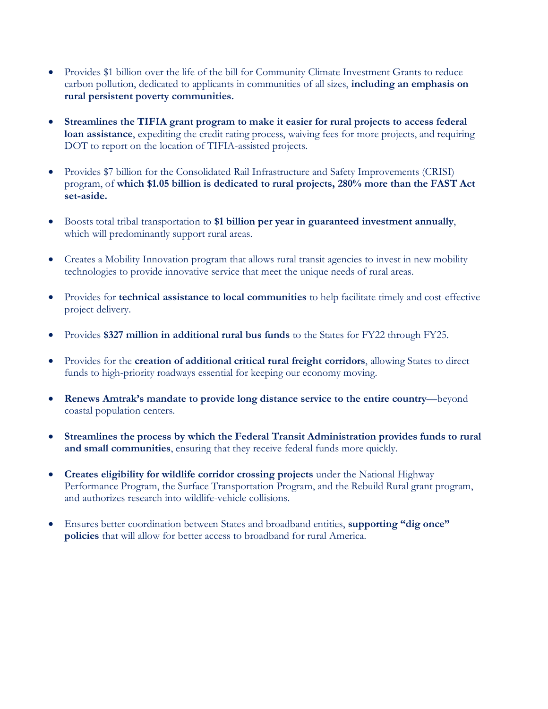- Provides \$1 billion over the life of the bill for Community Climate Investment Grants to reduce carbon pollution, dedicated to applicants in communities of all sizes, **including an emphasis on rural persistent poverty communities.**
- **Streamlines the TIFIA grant program to make it easier for rural projects to access federal loan assistance**, expediting the credit rating process, waiving fees for more projects, and requiring DOT to report on the location of TIFIA-assisted projects.
- Provides \$7 billion for the Consolidated Rail Infrastructure and Safety Improvements (CRISI) program, of **which \$1.05 billion is dedicated to rural projects, 280% more than the FAST Act set-aside.**
- Boosts total tribal transportation to **\$1 billion per year in guaranteed investment annually**, which will predominantly support rural areas.
- Creates a Mobility Innovation program that allows rural transit agencies to invest in new mobility technologies to provide innovative service that meet the unique needs of rural areas.
- Provides for **technical assistance to local communities** to help facilitate timely and cost-effective project delivery.
- Provides **\$327 million in additional rural bus funds** to the States for FY22 through FY25.
- Provides for the **creation of additional critical rural freight corridors**, allowing States to direct funds to high-priority roadways essential for keeping our economy moving.
- **Renews Amtrak's mandate to provide long distance service to the entire country**—beyond coastal population centers.
- **Streamlines the process by which the Federal Transit Administration provides funds to rural and small communities**, ensuring that they receive federal funds more quickly.
- **Creates eligibility for wildlife corridor crossing projects** under the National Highway Performance Program, the Surface Transportation Program, and the Rebuild Rural grant program, and authorizes research into wildlife-vehicle collisions.
- Ensures better coordination between States and broadband entities, **supporting "dig once" policies** that will allow for better access to broadband for rural America.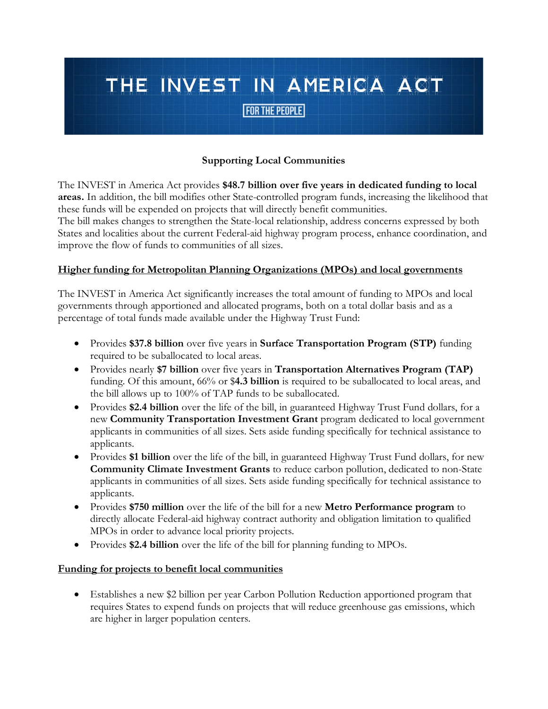#### **Supporting Local Communities**

The INVEST in America Act provides **\$48.7 billion over five years in dedicated funding to local areas.** In addition, the bill modifies other State-controlled program funds, increasing the likelihood that these funds will be expended on projects that will directly benefit communities.

The bill makes changes to strengthen the State-local relationship, address concerns expressed by both States and localities about the current Federal-aid highway program process, enhance coordination, and improve the flow of funds to communities of all sizes.

#### **Higher funding for Metropolitan Planning Organizations (MPOs) and local governments**

The INVEST in America Act significantly increases the total amount of funding to MPOs and local governments through apportioned and allocated programs, both on a total dollar basis and as a percentage of total funds made available under the Highway Trust Fund:

- Provides **\$37.8 billion** over five years in **Surface Transportation Program (STP)** funding required to be suballocated to local areas.
- Provides nearly **\$7 billion** over five years in **Transportation Alternatives Program (TAP)** funding. Of this amount, 66% or \$**4.3 billion** is required to be suballocated to local areas, and the bill allows up to 100% of TAP funds to be suballocated.
- Provides **\$2.4 billion** over the life of the bill, in guaranteed Highway Trust Fund dollars, for a new **Community Transportation Investment Grant** program dedicated to local government applicants in communities of all sizes. Sets aside funding specifically for technical assistance to applicants.
- Provides **\$1 billion** over the life of the bill, in guaranteed Highway Trust Fund dollars, for new **Community Climate Investment Grants** to reduce carbon pollution, dedicated to non-State applicants in communities of all sizes. Sets aside funding specifically for technical assistance to applicants.
- Provides **\$750 million** over the life of the bill for a new **Metro Performance program** to directly allocate Federal-aid highway contract authority and obligation limitation to qualified MPOs in order to advance local priority projects.
- Provides **\$2.4 billion** over the life of the bill for planning funding to MPOs.

#### **Funding for projects to benefit local communities**

• Establishes a new \$2 billion per year Carbon Pollution Reduction apportioned program that requires States to expend funds on projects that will reduce greenhouse gas emissions, which are higher in larger population centers.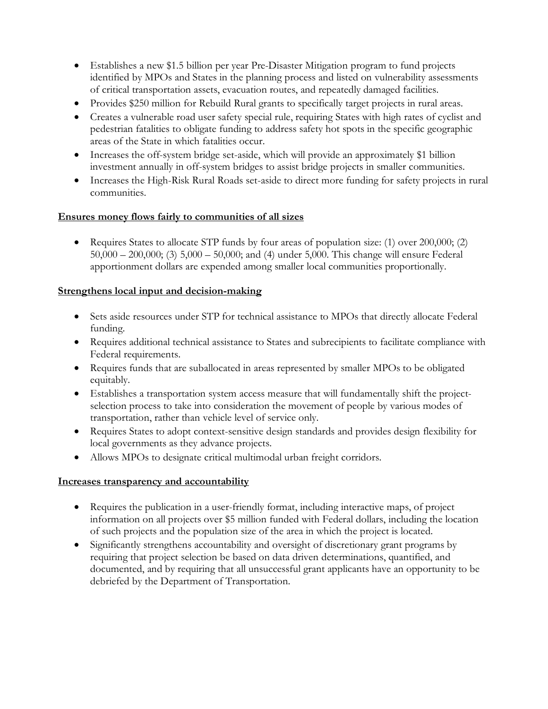- Establishes a new \$1.5 billion per year Pre-Disaster Mitigation program to fund projects identified by MPOs and States in the planning process and listed on vulnerability assessments of critical transportation assets, evacuation routes, and repeatedly damaged facilities.
- Provides \$250 million for Rebuild Rural grants to specifically target projects in rural areas.
- Creates a vulnerable road user safety special rule, requiring States with high rates of cyclist and pedestrian fatalities to obligate funding to address safety hot spots in the specific geographic areas of the State in which fatalities occur.
- Increases the off-system bridge set-aside, which will provide an approximately \$1 billion investment annually in off-system bridges to assist bridge projects in smaller communities.
- Increases the High-Risk Rural Roads set-aside to direct more funding for safety projects in rural communities.

#### **Ensures money flows fairly to communities of all sizes**

• Requires States to allocate STP funds by four areas of population size: (1) over 200,000; (2) 50,000 – 200,000; (3) 5,000 – 50,000; and (4) under 5,000. This change will ensure Federal apportionment dollars are expended among smaller local communities proportionally.

#### **Strengthens local input and decision-making**

- Sets aside resources under STP for technical assistance to MPOs that directly allocate Federal funding.
- Requires additional technical assistance to States and subrecipients to facilitate compliance with Federal requirements.
- Requires funds that are suballocated in areas represented by smaller MPOs to be obligated equitably.
- Establishes a transportation system access measure that will fundamentally shift the projectselection process to take into consideration the movement of people by various modes of transportation, rather than vehicle level of service only.
- Requires States to adopt context-sensitive design standards and provides design flexibility for local governments as they advance projects.
- Allows MPOs to designate critical multimodal urban freight corridors.

#### **Increases transparency and accountability**

- Requires the publication in a user-friendly format, including interactive maps, of project information on all projects over \$5 million funded with Federal dollars, including the location of such projects and the population size of the area in which the project is located.
- Significantly strengthens accountability and oversight of discretionary grant programs by requiring that project selection be based on data driven determinations, quantified, and documented, and by requiring that all unsuccessful grant applicants have an opportunity to be debriefed by the Department of Transportation.